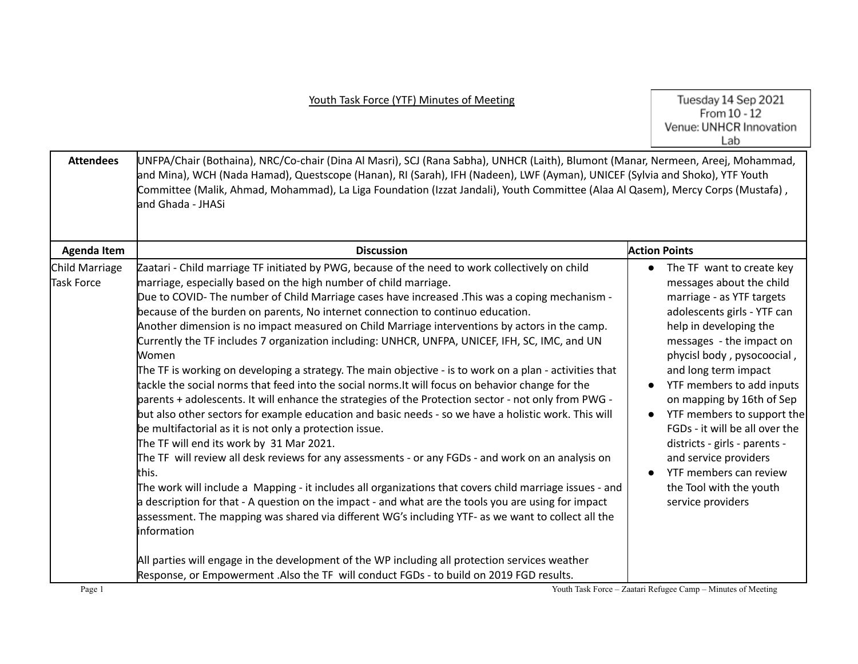Tuesday 14 Sep 2021<br>From 10 - 12<br>Venue: UNHCR Innovation Lab

| <b>Attendees</b>             | UNFPA/Chair (Bothaina), NRC/Co-chair (Dina Al Masri), SCJ (Rana Sabha), UNHCR (Laith), Blumont (Manar, Nermeen, Areej, Mohammad,<br>and Mina), WCH (Nada Hamad), Questscope (Hanan), RI (Sarah), IFH (Nadeen), LWF (Ayman), UNICEF (Sylvia and Shoko), YTF Youth<br>Committee (Malik, Ahmad, Mohammad), La Liga Foundation (Izzat Jandali), Youth Committee (Alaa Al Qasem), Mercy Corps (Mustafa),<br>and Ghada - JHASi                                                                                                                                                                                                                                                                                                                                                                                                                                                                                                                                                                                                                                                                                                                                                                                                                                                                                                                                                                                                                                                                                                                                                                                                                                                                                                                                                |                                                                                                                                                                                                                                                                                                                                                                                                                                                                                                                                    |
|------------------------------|-------------------------------------------------------------------------------------------------------------------------------------------------------------------------------------------------------------------------------------------------------------------------------------------------------------------------------------------------------------------------------------------------------------------------------------------------------------------------------------------------------------------------------------------------------------------------------------------------------------------------------------------------------------------------------------------------------------------------------------------------------------------------------------------------------------------------------------------------------------------------------------------------------------------------------------------------------------------------------------------------------------------------------------------------------------------------------------------------------------------------------------------------------------------------------------------------------------------------------------------------------------------------------------------------------------------------------------------------------------------------------------------------------------------------------------------------------------------------------------------------------------------------------------------------------------------------------------------------------------------------------------------------------------------------------------------------------------------------------------------------------------------------|------------------------------------------------------------------------------------------------------------------------------------------------------------------------------------------------------------------------------------------------------------------------------------------------------------------------------------------------------------------------------------------------------------------------------------------------------------------------------------------------------------------------------------|
| <b>Agenda Item</b>           | <b>Discussion</b>                                                                                                                                                                                                                                                                                                                                                                                                                                                                                                                                                                                                                                                                                                                                                                                                                                                                                                                                                                                                                                                                                                                                                                                                                                                                                                                                                                                                                                                                                                                                                                                                                                                                                                                                                       | <b>Action Points</b>                                                                                                                                                                                                                                                                                                                                                                                                                                                                                                               |
| Child Marriage<br>Task Force | Zaatari - Child marriage TF initiated by PWG, because of the need to work collectively on child<br>marriage, especially based on the high number of child marriage.<br>Due to COVID- The number of Child Marriage cases have increased .This was a coping mechanism -<br>because of the burden on parents, No internet connection to continuo education.<br>Another dimension is no impact measured on Child Marriage interventions by actors in the camp.<br>Currently the TF includes 7 organization including: UNHCR, UNFPA, UNICEF, IFH, SC, IMC, and UN<br>Women<br>The TF is working on developing a strategy. The main objective - is to work on a plan - activities that<br>tackle the social norms that feed into the social norms. It will focus on behavior change for the<br>parents + adolescents. It will enhance the strategies of the Protection sector - not only from PWG -<br>but also other sectors for example education and basic needs - so we have a holistic work. This will<br>be multifactorial as it is not only a protection issue.<br>The TF will end its work by 31 Mar 2021.<br>The TF will review all desk reviews for any assessments - or any FGDs - and work on an analysis on<br>lthis.<br>The work will include a Mapping - it includes all organizations that covers child marriage issues - and<br>a description for that - A question on the impact - and what are the tools you are using for impact<br>assessment. The mapping was shared via different WG's including YTF- as we want to collect all the<br><b>Information</b><br>All parties will engage in the development of the WP including all protection services weather<br>Response, or Empowerment .Also the TF will conduct FGDs - to build on 2019 FGD results. | The TF want to create key<br>$\bullet$<br>messages about the child<br>marriage - as YTF targets<br>adolescents girls - YTF can<br>help in developing the<br>messages - the impact on<br>phycisl body, pysocoocial,<br>and long term impact<br>YTF members to add inputs<br>$\bullet$<br>on mapping by 16th of Sep<br>YTF members to support the<br>$\bullet$<br>FGDs - it will be all over the<br>districts - girls - parents -<br>and service providers<br>YTF members can review<br>the Tool with the youth<br>service providers |
| Page 1                       | Youth Task Force - Zaatari Refugee Camp - Minutes of Meeting                                                                                                                                                                                                                                                                                                                                                                                                                                                                                                                                                                                                                                                                                                                                                                                                                                                                                                                                                                                                                                                                                                                                                                                                                                                                                                                                                                                                                                                                                                                                                                                                                                                                                                            |                                                                                                                                                                                                                                                                                                                                                                                                                                                                                                                                    |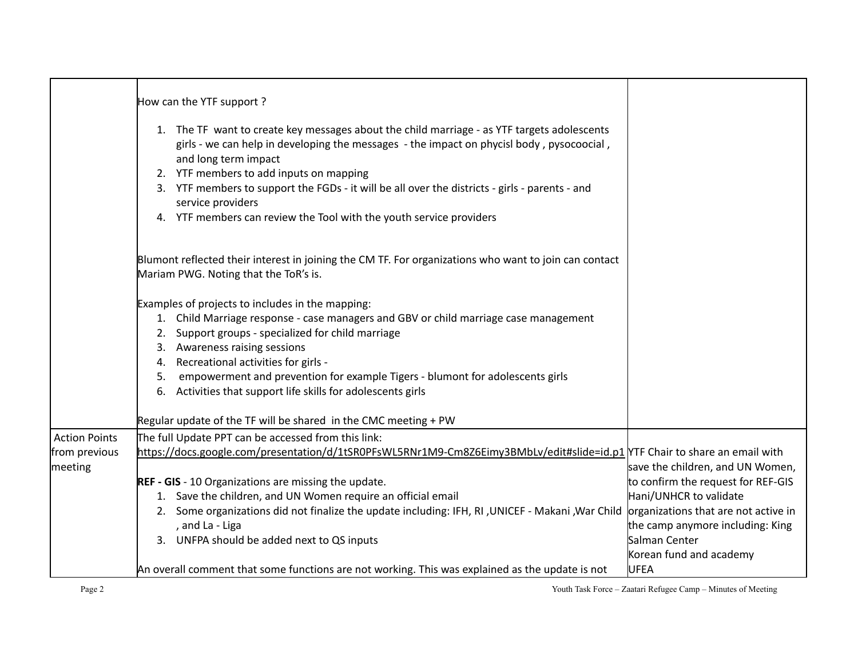|                                       | How can the YTF support?<br>1. The TF want to create key messages about the child marriage - as YTF targets adolescents<br>girls - we can help in developing the messages - the impact on phycisl body, pysocoocial,<br>and long term impact<br>2. YTF members to add inputs on mapping<br>3. YTF members to support the FGDs - it will be all over the districts - girls - parents - and<br>service providers<br>4. YTF members can review the Tool with the youth service providers |                                                                                                                                                                                                                                         |
|---------------------------------------|---------------------------------------------------------------------------------------------------------------------------------------------------------------------------------------------------------------------------------------------------------------------------------------------------------------------------------------------------------------------------------------------------------------------------------------------------------------------------------------|-----------------------------------------------------------------------------------------------------------------------------------------------------------------------------------------------------------------------------------------|
|                                       | Blumont reflected their interest in joining the CM TF. For organizations who want to join can contact<br>Mariam PWG. Noting that the ToR's is.                                                                                                                                                                                                                                                                                                                                        |                                                                                                                                                                                                                                         |
|                                       | Examples of projects to includes in the mapping:<br>1. Child Marriage response - case managers and GBV or child marriage case management<br>2. Support groups - specialized for child marriage<br>3. Awareness raising sessions<br>4. Recreational activities for girls -<br>empowerment and prevention for example Tigers - blumont for adolescents girls<br>5.<br>6. Activities that support life skills for adolescents girls                                                      |                                                                                                                                                                                                                                         |
|                                       | Regular update of the TF will be shared in the CMC meeting + PW                                                                                                                                                                                                                                                                                                                                                                                                                       |                                                                                                                                                                                                                                         |
| <b>Action Points</b><br>from previous | The full Update PPT can be accessed from this link:<br>https://docs.google.com/presentation/d/1tSR0PFsWL5RNr1M9-Cm8Z6Eimy3BMbLv/edit#slide=id.p1 YTF Chair to share an email with                                                                                                                                                                                                                                                                                                     |                                                                                                                                                                                                                                         |
| meeting                               | <b>REF - GIS</b> - 10 Organizations are missing the update.<br>1. Save the children, and UN Women require an official email<br>2. Some organizations did not finalize the update including: IFH, RI, UNICEF - Makani, War Child<br>, and La - Liga<br>3. UNFPA should be added next to QS inputs<br>An overall comment that some functions are not working. This was explained as the update is not                                                                                   | save the children, and UN Women,<br>to confirm the request for REF-GIS<br>Hani/UNHCR to validate<br>organizations that are not active in<br>the camp anymore including: King<br>Salman Center<br>Korean fund and academy<br><b>UFEA</b> |

Page 2 Youth Task Force – Zaatari Refugee Camp – Minutes of Meeting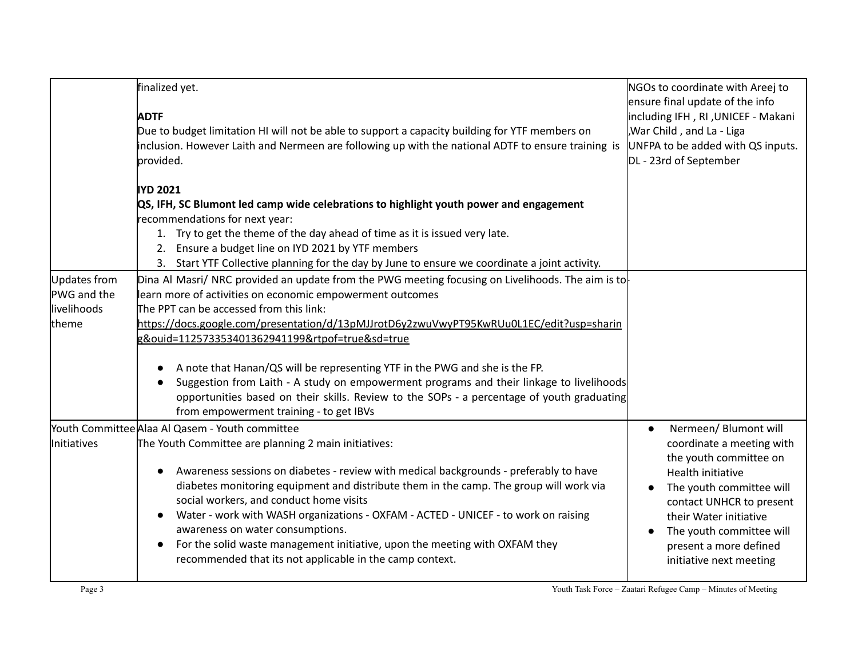|                                                      | finalized yet.<br><b>ADTF</b><br>Due to budget limitation HI will not be able to support a capacity building for YTF members on<br>inclusion. However Laith and Nermeen are following up with the national ADTF to ensure training is<br>provided.                                                                                                                                                                                                                                                                                                                                                                                                                           | NGOs to coordinate with Areej to<br>ensure final update of the info<br>including IFH, RI, UNICEF - Makani<br>War Child, and La - Liga<br>UNFPA to be added with QS inputs.<br>DL - 23rd of September                                                                             |
|------------------------------------------------------|------------------------------------------------------------------------------------------------------------------------------------------------------------------------------------------------------------------------------------------------------------------------------------------------------------------------------------------------------------------------------------------------------------------------------------------------------------------------------------------------------------------------------------------------------------------------------------------------------------------------------------------------------------------------------|----------------------------------------------------------------------------------------------------------------------------------------------------------------------------------------------------------------------------------------------------------------------------------|
|                                                      | <b>IYD 2021</b><br>QS, IFH, SC Blumont led camp wide celebrations to highlight youth power and engagement<br>recommendations for next year:<br>1. Try to get the theme of the day ahead of time as it is issued very late.<br>2. Ensure a budget line on IYD 2021 by YTF members<br>3. Start YTF Collective planning for the day by June to ensure we coordinate a joint activity.                                                                                                                                                                                                                                                                                           |                                                                                                                                                                                                                                                                                  |
| Updates from<br>PWG and the<br>llivelihoods<br>theme | Dina Al Masri/ NRC provided an update from the PWG meeting focusing on Livelihoods. The aim is to<br>learn more of activities on economic empowerment outcomes<br>The PPT can be accessed from this link:<br>https://docs.google.com/presentation/d/13pMJJrotD6y2zwuVwyPT95KwRUu0L1EC/edit?usp=sharin<br>g&ouid=112573353401362941199&rtpof=true&sd=true<br>A note that Hanan/QS will be representing YTF in the PWG and she is the FP.<br>Suggestion from Laith - A study on empowerment programs and their linkage to livelihoods<br>opportunities based on their skills. Review to the SOPs - a percentage of youth graduating<br>from empowerment training - to get IBVs |                                                                                                                                                                                                                                                                                  |
| <i>Initiatives</i>                                   | Youth Committee Alaa Al Qasem - Youth committee<br>The Youth Committee are planning 2 main initiatives:<br>Awareness sessions on diabetes - review with medical backgrounds - preferably to have<br>diabetes monitoring equipment and distribute them in the camp. The group will work via<br>social workers, and conduct home visits<br>Water - work with WASH organizations - OXFAM - ACTED - UNICEF - to work on raising<br>awareness on water consumptions.<br>For the solid waste management initiative, upon the meeting with OXFAM they<br>$\bullet$<br>recommended that its not applicable in the camp context.                                                      | Nermeen/Blumont will<br>$\bullet$<br>coordinate a meeting with<br>the youth committee on<br>Health initiative<br>The youth committee will<br>contact UNHCR to present<br>their Water initiative<br>The youth committee will<br>present a more defined<br>initiative next meeting |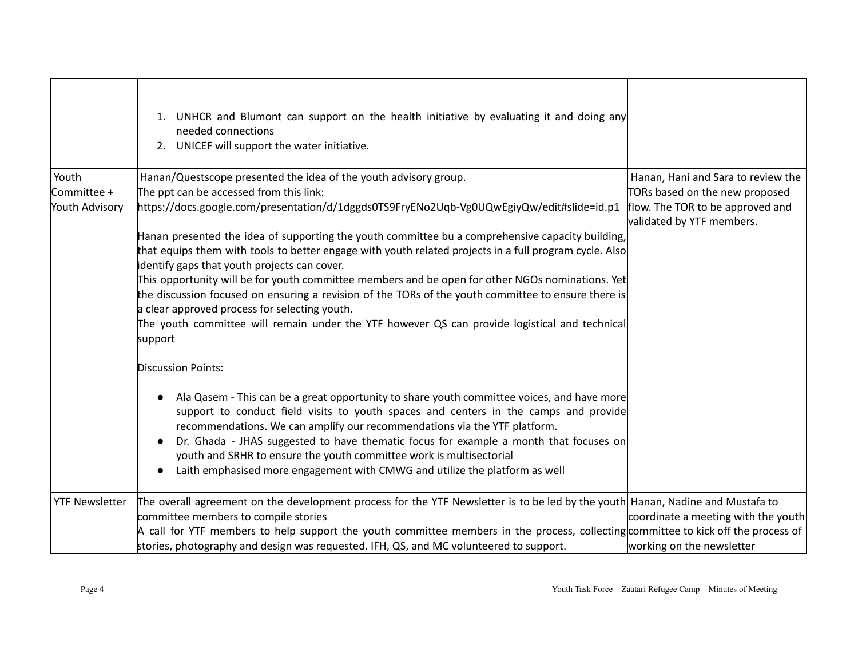|                       | UNHCR and Blumont can support on the health initiative by evaluating it and doing any<br>1.<br>needed connections<br>2. UNICEF will support the water initiative.                                                                                                                                                                                                                                                                                                                                                                        |                                                               |
|-----------------------|------------------------------------------------------------------------------------------------------------------------------------------------------------------------------------------------------------------------------------------------------------------------------------------------------------------------------------------------------------------------------------------------------------------------------------------------------------------------------------------------------------------------------------------|---------------------------------------------------------------|
| Youth                 | Hanan/Questscope presented the idea of the youth advisory group.                                                                                                                                                                                                                                                                                                                                                                                                                                                                         | Hanan, Hani and Sara to review the                            |
| Committee +           | The ppt can be accessed from this link:                                                                                                                                                                                                                                                                                                                                                                                                                                                                                                  | TORs based on the new proposed                                |
| Youth Advisory        | https://docs.google.com/presentation/d/1dggds0TS9FryENo2Uqb-Vg0UQwEgiyQw/edit#slide=id.p1                                                                                                                                                                                                                                                                                                                                                                                                                                                | flow. The TOR to be approved and<br>validated by YTF members. |
|                       | Hanan presented the idea of supporting the youth committee bu a comprehensive capacity building,                                                                                                                                                                                                                                                                                                                                                                                                                                         |                                                               |
|                       | that equips them with tools to better engage with youth related projects in a full program cycle. Also                                                                                                                                                                                                                                                                                                                                                                                                                                   |                                                               |
|                       | identify gaps that youth projects can cover.                                                                                                                                                                                                                                                                                                                                                                                                                                                                                             |                                                               |
|                       | This opportunity will be for youth committee members and be open for other NGOs nominations. Yet                                                                                                                                                                                                                                                                                                                                                                                                                                         |                                                               |
|                       | the discussion focused on ensuring a revision of the TORs of the youth committee to ensure there is                                                                                                                                                                                                                                                                                                                                                                                                                                      |                                                               |
|                       | a clear approved process for selecting youth.                                                                                                                                                                                                                                                                                                                                                                                                                                                                                            |                                                               |
|                       | The youth committee will remain under the YTF however QS can provide logistical and technical<br>support                                                                                                                                                                                                                                                                                                                                                                                                                                 |                                                               |
|                       | <b>Discussion Points:</b>                                                                                                                                                                                                                                                                                                                                                                                                                                                                                                                |                                                               |
|                       | Ala Qasem - This can be a great opportunity to share youth committee voices, and have more<br>support to conduct field visits to youth spaces and centers in the camps and provide<br>recommendations. We can amplify our recommendations via the YTF platform.<br>Dr. Ghada - JHAS suggested to have thematic focus for example a month that focuses on<br>$\bullet$<br>youth and SRHR to ensure the youth committee work is multisectorial<br>Laith emphasised more engagement with CMWG and utilize the platform as well<br>$\bullet$ |                                                               |
| <b>YTF Newsletter</b> | The overall agreement on the development process for the YTF Newsletter is to be led by the youth Hanan, Nadine and Mustafa to                                                                                                                                                                                                                                                                                                                                                                                                           |                                                               |
|                       | committee members to compile stories                                                                                                                                                                                                                                                                                                                                                                                                                                                                                                     | coordinate a meeting with the youth                           |
|                       | A call for YTF members to help support the youth committee members in the process, collecting committee to kick off the process of                                                                                                                                                                                                                                                                                                                                                                                                       |                                                               |
|                       | stories, photography and design was requested. IFH, QS, and MC volunteered to support.                                                                                                                                                                                                                                                                                                                                                                                                                                                   | working on the newsletter                                     |